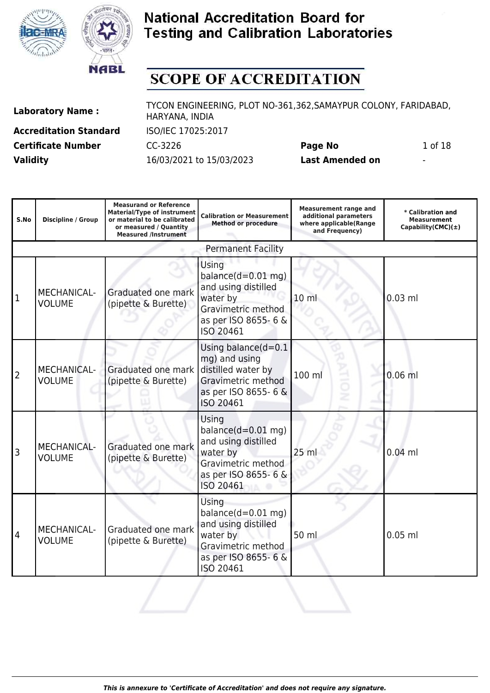



# **SCOPE OF ACCREDITATION**

| <b>Laboratory Name:</b> |  |
|-------------------------|--|
|-------------------------|--|

**Accreditation Standard** ISO/IEC 17025:2017 **Certificate Number CC-3226 Page No** 1 of 18 **Validity** 16/03/2021 to 15/03/2023 **Last Amended on** -

| S.No | Discipline / Group                  | <b>Measurand or Reference</b><br><b>Material/Type of instrument</b><br>or material to be calibrated<br>or measured / Quantity<br><b>Measured /Instrument</b> | <b>Calibration or Measurement</b><br><b>Method or procedure</b>                                                              | <b>Measurement range and</b><br>additional parameters<br>where applicable(Range<br>and Frequency) | * Calibration and<br><b>Measurement</b><br>Capability(CMC) $(\pm)$ |
|------|-------------------------------------|--------------------------------------------------------------------------------------------------------------------------------------------------------------|------------------------------------------------------------------------------------------------------------------------------|---------------------------------------------------------------------------------------------------|--------------------------------------------------------------------|
|      |                                     |                                                                                                                                                              | <b>Permanent Facility</b>                                                                                                    |                                                                                                   |                                                                    |
| 1    | <b>MECHANICAL-</b><br><b>VOLUME</b> | Graduated one mark<br>(pipette & Burette)                                                                                                                    | Using<br>balance $(d=0.01$ mg)<br>and using distilled<br>water by<br>Gravimetric method<br>as per ISO 8655- 6 &<br>ISO 20461 | 10 <sub>m</sub>                                                                                   | $0.03$ ml                                                          |
| 2    | <b>MECHANICAL-</b><br><b>VOLUME</b> | Graduated one mark<br>(pipette & Burette)                                                                                                                    | Using balance $(d=0.1)$<br>mg) and using<br>distilled water by<br>Gravimetric method<br>as per ISO 8655-6 &<br>ISO 20461     | Ë<br>100 ml<br>ż                                                                                  | $0.06$ ml                                                          |
| 3    | MECHANICAL-<br><b>VOLUME</b>        | Graduated one mark<br>(pipette & Burette)                                                                                                                    | Using<br>balance $(d=0.01$ mg)<br>and using distilled<br>water by<br>Gravimetric method<br>as per ISO 8655-6 &<br>ISO 20461  | 25 ml                                                                                             | $0.04$ ml                                                          |
| 4    | MECHANICAL-<br><b>VOLUME</b>        | Graduated one mark<br>(pipette & Burette)                                                                                                                    | Using<br>balance $(d=0.01$ mg)<br>and using distilled<br>water by<br>Gravimetric method<br>as per ISO 8655-6 &<br>ISO 20461  | 50 ml                                                                                             | $0.05$ ml                                                          |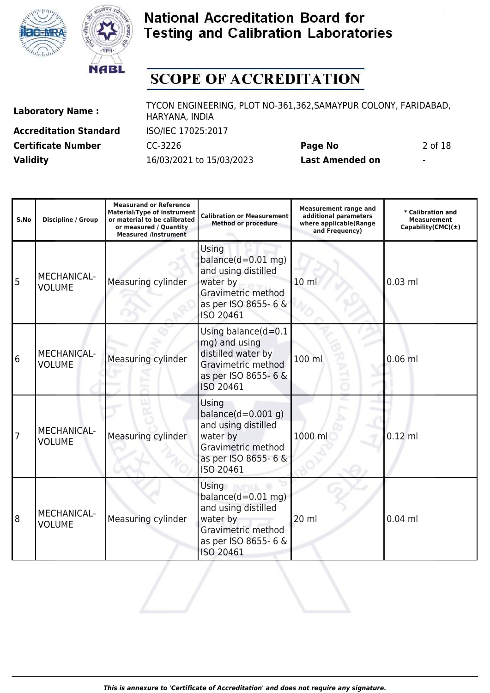



# **SCOPE OF ACCREDITATION**

| <b>Laboratory Name:</b> |  |
|-------------------------|--|
|-------------------------|--|

**Accreditation Standard** ISO/IEC 17025:2017 **Validity** 16/03/2021 to 15/03/2023 **Last Amended on** -

**Laboratory Name :** TYCON ENGINEERING, PLOT NO-361,362,SAMAYPUR COLONY, FARIDABAD, HARYANA, INDIA

**Certificate Number** CC-3226 **Page No** 2 of 18

| S.No | Discipline / Group                  | <b>Measurand or Reference</b><br><b>Material/Type of instrument</b><br>or material to be calibrated<br>or measured / Quantity<br><b>Measured /Instrument</b> | <b>Calibration or Measurement</b><br><b>Method or procedure</b>                                                                    | <b>Measurement range and</b><br>additional parameters<br>where applicable(Range<br>and Frequency) | * Calibration and<br><b>Measurement</b><br>Capability(CMC) $(\pm)$ |
|------|-------------------------------------|--------------------------------------------------------------------------------------------------------------------------------------------------------------|------------------------------------------------------------------------------------------------------------------------------------|---------------------------------------------------------------------------------------------------|--------------------------------------------------------------------|
| 5    | MECHANICAL-<br><b>VOLUME</b>        | Measuring cylinder                                                                                                                                           | Using<br>balance $(d=0.01$ mg)<br>and using distilled<br>water by<br>Gravimetric method<br>as per ISO 8655-6 &<br>ISO 20461        | 10 <sub>m</sub>                                                                                   | $0.03$ ml                                                          |
| 6    | <b>MECHANICAL-</b><br><b>VOLUME</b> | Measuring cylinder                                                                                                                                           | Using balance $(d=0.1)$<br>mg) and using<br>distilled water by<br>Gravimetric method<br>as per ISO 8655-6 &<br>ISO 20461           | 100 ml                                                                                            | $0.06$ ml                                                          |
| 7    | <b>MECHANICAL-</b><br><b>VOLUME</b> | Measuring cylinder                                                                                                                                           | Using<br>balance $(d=0.001 q)$<br>and using distilled<br>water by<br>Gravimetric method<br>as per ISO 8655-6 &<br>ISO 20461        | 1000 ml                                                                                           | $0.12$ ml                                                          |
| 8    | MECHANICAL-<br><b>VOLUME</b>        | Measuring cylinder                                                                                                                                           | <b>Using</b><br>balance $(d=0.01$ mg)<br>and using distilled<br>water by<br>Gravimetric method<br>as per ISO 8655-6 &<br>ISO 20461 | 20 ml                                                                                             | $0.04$ ml                                                          |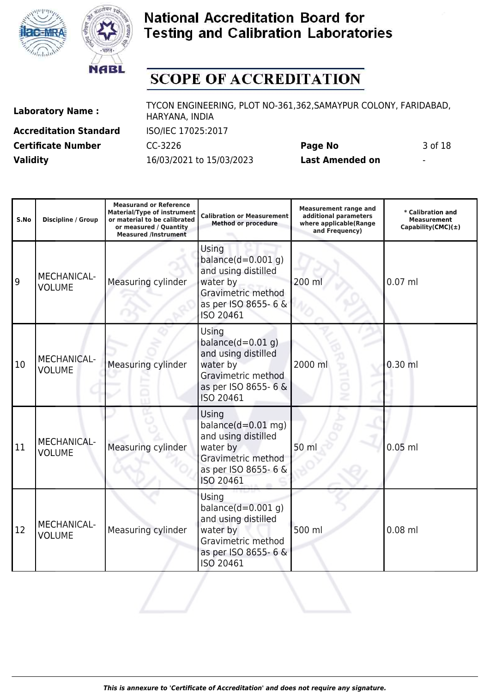



# **SCOPE OF ACCREDITATION**

| <b>Laboratory Name:</b> |  |
|-------------------------|--|
|-------------------------|--|

**Accreditation Standard** ISO/IEC 17025:2017 **Validity** 16/03/2021 to 15/03/2023 **Last Amended on** -

**Laboratory Name :** TYCON ENGINEERING, PLOT NO-361,362,SAMAYPUR COLONY, FARIDABAD, HARYANA, INDIA

**Certificate Number** CC-3226 **Page No** 3 of 18

| S.No | Discipline / Group                  | <b>Measurand or Reference</b><br><b>Material/Type of instrument</b><br>or material to be calibrated<br>or measured / Quantity<br><b>Measured /Instrument</b> | <b>Calibration or Measurement</b><br><b>Method or procedure</b>                                                             | <b>Measurement range and</b><br>additional parameters<br>where applicable(Range<br>and Frequency) | * Calibration and<br><b>Measurement</b><br>Capability(CMC) $(\pm)$ |
|------|-------------------------------------|--------------------------------------------------------------------------------------------------------------------------------------------------------------|-----------------------------------------------------------------------------------------------------------------------------|---------------------------------------------------------------------------------------------------|--------------------------------------------------------------------|
| 9    | MECHANICAL-<br><b>VOLUME</b>        | Measuring cylinder                                                                                                                                           | Using<br>balance $(d=0.001 q)$<br>and using distilled<br>water by<br>Gravimetric method<br>as per ISO 8655-6 &<br>ISO 20461 | 200 ml                                                                                            | $0.07$ ml                                                          |
| 10   | <b>MECHANICAL-</b><br><b>VOLUME</b> | Measuring cylinder                                                                                                                                           | Using<br>balance $(d=0.01 q)$<br>and using distilled<br>water by<br>Gravimetric method<br>as per ISO 8655-6 &<br>ISO 20461  | 2000 ml                                                                                           | $0.30$ ml                                                          |
| 11   | MECHANICAL-<br><b>VOLUME</b>        | Measuring cylinder                                                                                                                                           | Using<br>balance $(d=0.01$ mg)<br>and using distilled<br>water by<br>Gravimetric method<br>as per ISO 8655-6 &<br>ISO 20461 | 50 ml                                                                                             | $0.05$ ml                                                          |
| 12   | MECHANICAL-<br><b>VOLUME</b>        | Measuring cylinder                                                                                                                                           | Using<br>balance $(d=0.001 q)$<br>and using distilled<br>water by<br>Gravimetric method<br>as per ISO 8655-6 &<br>ISO 20461 | 500 ml                                                                                            | $0.08$ ml                                                          |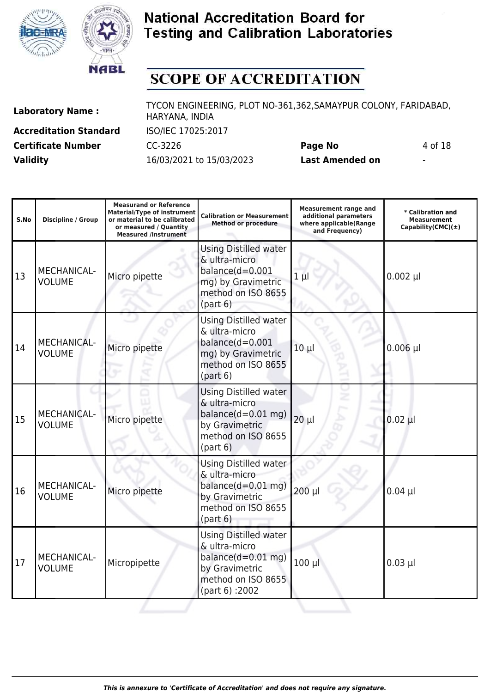



# **SCOPE OF ACCREDITATION**

| <b>Laboratory Name:</b> |  |
|-------------------------|--|
|-------------------------|--|

**Accreditation Standard** ISO/IEC 17025:2017 **Validity** 16/03/2021 to 15/03/2023 **Last Amended on** -

**Laboratory Name :** TYCON ENGINEERING, PLOT NO-361,362,SAMAYPUR COLONY, FARIDABAD, HARYANA, INDIA

**Certificate Number CC-3226 Page No** 4 of 18

| S.No | <b>Discipline / Group</b>           | <b>Measurand or Reference</b><br><b>Material/Type of instrument</b><br>or material to be calibrated<br>or measured / Quantity<br><b>Measured /Instrument</b> | <b>Calibration or Measurement</b><br><b>Method or procedure</b>                                                                 | <b>Measurement range and</b><br>additional parameters<br>where applicable(Range<br>and Frequency) | * Calibration and<br><b>Measurement</b><br>Capability(CMC) $(\pm)$ |
|------|-------------------------------------|--------------------------------------------------------------------------------------------------------------------------------------------------------------|---------------------------------------------------------------------------------------------------------------------------------|---------------------------------------------------------------------------------------------------|--------------------------------------------------------------------|
| 13   | MECHANICAL-<br><b>VOLUME</b>        | Micro pipette                                                                                                                                                | <b>Using Distilled water</b><br>& ultra-micro<br>$balance(d=0.001$<br>mg) by Gravimetric<br>method on ISO 8655<br>(part 6)      | $1 \mu$                                                                                           | $0.002$ µl                                                         |
| 14   | <b>MECHANICAL-</b><br><b>VOLUME</b> | Micro pipette                                                                                                                                                | Using Distilled water<br>& ultra-micro<br>balance $(d=0.001$<br>mg) by Gravimetric<br>method on ISO 8655<br>(path 6)            | $10 \mu$                                                                                          | $0.006$ µl                                                         |
| 15   | <b>MECHANICAL-</b><br><b>VOLUME</b> | Micro pipette                                                                                                                                                | <b>Using Distilled water</b><br>& ultra-micro<br>balance $(d=0.01$ mg)<br>by Gravimetric<br>method on ISO 8655<br>(path 6)      | $20 \mu$                                                                                          | $0.02$ $\mu$                                                       |
| 16   | MECHANICAL-<br><b>VOLUME</b>        | Micro pipette                                                                                                                                                | <b>Using Distilled water</b><br>& ultra-micro<br>balance $(d=0.01$ mg)<br>by Gravimetric<br>method on ISO 8655<br>(path 6)      | $200 \mu$                                                                                         | $0.04$ µl                                                          |
| 17   | MECHANICAL-<br><b>VOLUME</b>        | Micropipette                                                                                                                                                 | <b>Using Distilled water</b><br>& ultra-micro<br>balance $(d=0.01$ mg)<br>by Gravimetric<br>method on ISO 8655<br>(part 6):2002 | $100 \mu$                                                                                         | $0.03$ µl                                                          |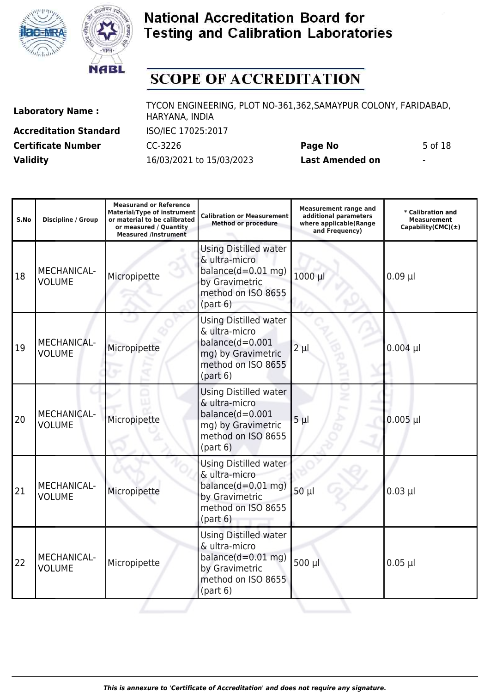



# **SCOPE OF ACCREDITATION**

| <b>Laboratory Name:</b> |  |
|-------------------------|--|
|-------------------------|--|

**Accreditation Standard** ISO/IEC 17025:2017 **Certificate Number CC-3226 Page No** 5 of 18 **Validity** 16/03/2021 to 15/03/2023 **Last Amended on** -

| S.No | <b>Discipline / Group</b>           | <b>Measurand or Reference</b><br>Material/Type of instrument<br>or material to be calibrated<br>or measured / Quantity<br><b>Measured /Instrument</b> | <b>Calibration or Measurement</b><br><b>Method or procedure</b>                                                             | <b>Measurement range and</b><br>additional parameters<br>where applicable(Range<br>and Frequency) | * Calibration and<br><b>Measurement</b><br>Capability(CMC) $(\pm)$ |
|------|-------------------------------------|-------------------------------------------------------------------------------------------------------------------------------------------------------|-----------------------------------------------------------------------------------------------------------------------------|---------------------------------------------------------------------------------------------------|--------------------------------------------------------------------|
| 18   | MECHANICAL-<br><b>VOLUME</b>        | Micropipette                                                                                                                                          | <b>Using Distilled water</b><br>& ultra-micro<br>balance $(d=0.01$ mg)<br>by Gravimetric<br>method on ISO 8655<br>(path 6)  | 1000 µl                                                                                           | $0.09$ µl                                                          |
| 19   | MECHANICAL-<br><b>VOLUME</b>        | Micropipette                                                                                                                                          | Using Distilled water<br>& ultra-micro<br>$balance(d=0.001$<br>mg) by Gravimetric<br>method on ISO 8655<br>(path 6)         | $2 \mu l$                                                                                         | $0.004$ µl                                                         |
| 20   | <b>MECHANICAL-</b><br><b>VOLUME</b> | Micropipette                                                                                                                                          | <b>Using Distilled water</b><br>& ultra-micro<br>balance $(d=0.001$<br>mg) by Gravimetric<br>method on ISO 8655<br>(path 6) | $5 \mu$                                                                                           | $0.005$ $\mu$                                                      |
| 21   | MECHANICAL-<br><b>VOLUME</b>        | Micropipette                                                                                                                                          | <b>Using Distilled water</b><br>& ultra-micro<br>balance $(d=0.01$ mg)<br>by Gravimetric<br>method on ISO 8655<br>(path 6)  | $50 \mu$                                                                                          | $0.03$ µl                                                          |
| 22   | MECHANICAL-<br><b>VOLUME</b>        | Micropipette                                                                                                                                          | <b>Using Distilled water</b><br>& ultra-micro<br>balance $(d=0.01$ mg)<br>by Gravimetric<br>method on ISO 8655<br>(path 6)  | 500 µl                                                                                            | $0.05$ µl                                                          |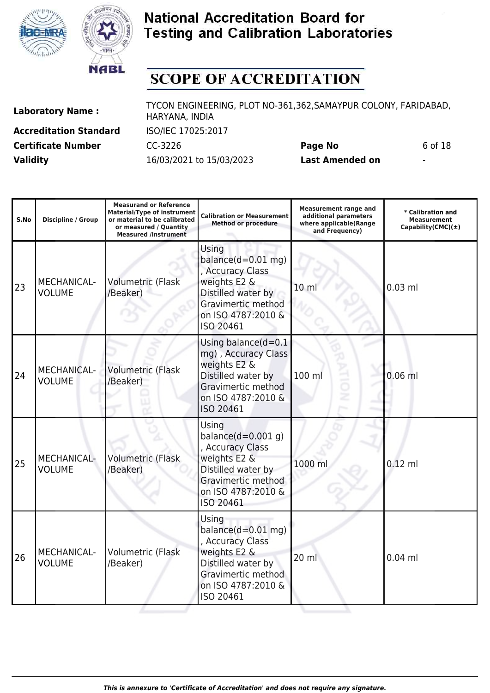



# **SCOPE OF ACCREDITATION**

| <b>Laboratory Name:</b> |  |
|-------------------------|--|
|-------------------------|--|

**Accreditation Standard** ISO/IEC 17025:2017 **Validity** 16/03/2021 to 15/03/2023 **Last Amended on** -

**Laboratory Name :** TYCON ENGINEERING, PLOT NO-361,362,SAMAYPUR COLONY, FARIDABAD, HARYANA, INDIA

**Certificate Number CC-3226 Page No** 6 of 18

| S.No | <b>Discipline / Group</b>    | <b>Measurand or Reference</b><br><b>Material/Type of instrument</b><br>or material to be calibrated<br>or measured / Quantity<br><b>Measured /Instrument</b> | <b>Calibration or Measurement</b><br><b>Method or procedure</b>                                                                                   | <b>Measurement range and</b><br>additional parameters<br>where applicable(Range<br>and Frequency) | * Calibration and<br><b>Measurement</b><br>Capability(CMC) $(\pm)$ |
|------|------------------------------|--------------------------------------------------------------------------------------------------------------------------------------------------------------|---------------------------------------------------------------------------------------------------------------------------------------------------|---------------------------------------------------------------------------------------------------|--------------------------------------------------------------------|
| 23   | MECHANICAL-<br><b>VOLUME</b> | Volumetric (Flask<br>/Beaker)                                                                                                                                | Using<br>balance $(d=0.01$ mg)<br>, Accuracy Class<br>weights E2 &<br>Distilled water by<br>Gravimertic method<br>on ISO 4787:2010 &<br>ISO 20461 | 10 <sub>m</sub>                                                                                   | $0.03$ ml                                                          |
| 24   | MECHANICAL-<br><b>VOLUME</b> | Volumetric (Flask<br>/Beaker)                                                                                                                                | Using balance $(d=0.1)$<br>mg), Accuracy Class<br>weights E2 &<br>Distilled water by<br>Gravimertic method<br>on ISO 4787:2010 &<br>ISO 20461     | 100 ml                                                                                            | $0.06$ ml                                                          |
| 25   | MECHANICAL-<br><b>VOLUME</b> | Volumetric (Flask<br>/Beaker)                                                                                                                                | Using<br>balance $(d=0.001 q)$<br>, Accuracy Class<br>weights E2 &<br>Distilled water by<br>Gravimertic method<br>on ISO 4787:2010 &<br>ISO 20461 | 1000 ml                                                                                           | $0.12$ ml                                                          |
| 26   | MECHANICAL-<br><b>VOLUME</b> | Volumetric (Flask<br>/Beaker)                                                                                                                                | Using<br>balance $(d=0.01$ mg)<br>, Accuracy Class<br>weights E2 &<br>Distilled water by<br>Gravimertic method<br>on ISO 4787:2010 &<br>ISO 20461 | 20 ml                                                                                             | $0.04$ ml                                                          |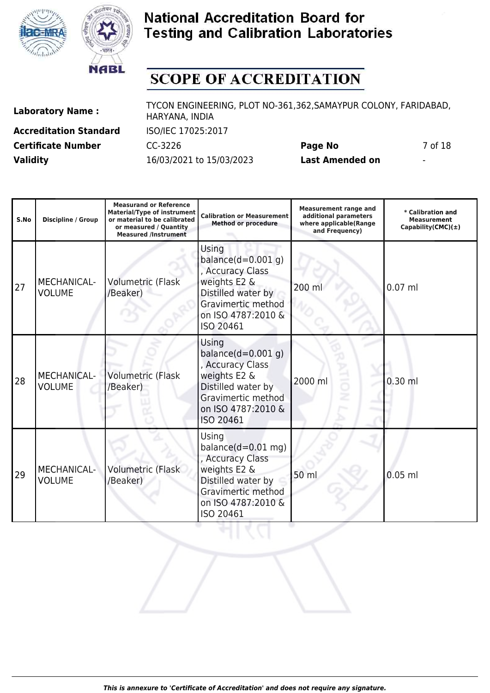



# **SCOPE OF ACCREDITATION**

| <b>Laboratory Name:</b> |  |
|-------------------------|--|
|-------------------------|--|

**Accreditation Standard** ISO/IEC 17025:2017 **Validity** 16/03/2021 to 15/03/2023 **Last Amended on** -

**Laboratory Name :** TYCON ENGINEERING, PLOT NO-361,362,SAMAYPUR COLONY, FARIDABAD, HARYANA, INDIA

**Certificate Number CC-3226 Page No** 7 of 18

| S.No | Discipline / Group                  | <b>Measurand or Reference</b><br><b>Material/Type of instrument</b><br>or material to be calibrated<br>or measured / Quantity<br><b>Measured /Instrument</b> | <b>Calibration or Measurement</b><br><b>Method or procedure</b>                                                                                          | <b>Measurement range and</b><br>additional parameters<br>where applicable(Range<br>and Frequency) | * Calibration and<br><b>Measurement</b><br>Capability(CMC) $(\pm)$ |
|------|-------------------------------------|--------------------------------------------------------------------------------------------------------------------------------------------------------------|----------------------------------------------------------------------------------------------------------------------------------------------------------|---------------------------------------------------------------------------------------------------|--------------------------------------------------------------------|
| 27   | <b>MECHANICAL-</b><br><b>VOLUME</b> | Volumetric (Flask<br>/Beaker)                                                                                                                                | Using<br>balance $(d=0.001 g)$<br>, Accuracy Class<br>weights E2 &<br>Distilled water by<br>Gravimertic method<br>on ISO 4787:2010 &<br>ISO 20461        | 200 ml                                                                                            | $0.07$ ml                                                          |
| 28   | MECHANICAL-<br><b>VOLUME</b>        | <b>Volumetric (Flask</b><br>/Beaker)                                                                                                                         | Using<br>balance $(d=0.001 g)$<br>Accuracy Class<br>weights E2 &<br>Distilled water by<br>Gravimertic method<br>on ISO 4787:2010 &<br>ISO 20461          | 5<br>2000 ml                                                                                      | $0.30$ ml                                                          |
| 29   | <b>MECHANICAL-</b><br><b>VOLUME</b> | Volumetric (Flask<br>/Beaker)                                                                                                                                | <b>Using</b><br>balance $(d=0.01$ mg)<br>, Accuracy Class<br>weights E2 &<br>Distilled water by<br>Gravimertic method<br>on ISO 4787:2010 &<br>ISO 20461 | 50 ml                                                                                             | $0.05$ ml                                                          |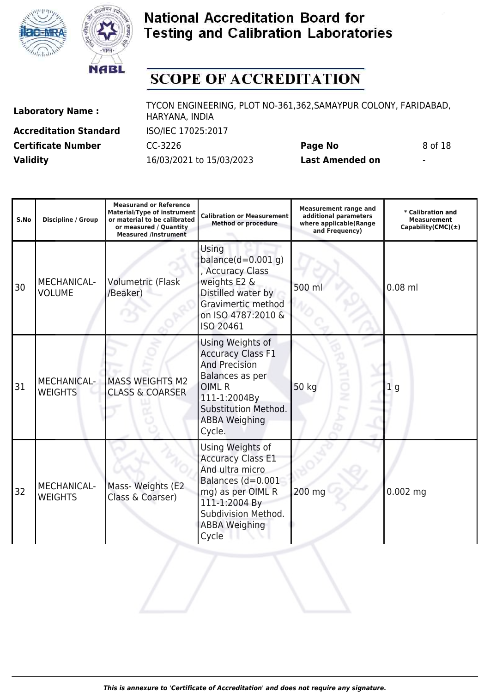



# **SCOPE OF ACCREDITATION**

| <b>Laboratory Name:</b> |  |
|-------------------------|--|
|-------------------------|--|

**Accreditation Standard** ISO/IEC 17025:2017 **Validity** 16/03/2021 to 15/03/2023 **Last Amended on** -

**Laboratory Name :** TYCON ENGINEERING, PLOT NO-361,362,SAMAYPUR COLONY, FARIDABAD, HARYANA, INDIA

**Certificate Number CC-3226 Page No** 8 of 18

| S.No | Discipline / Group                   | <b>Measurand or Reference</b><br><b>Material/Type of instrument</b><br>or material to be calibrated<br>or measured / Quantity<br><b>Measured /Instrument</b> | <b>Calibration or Measurement</b><br><b>Method or procedure</b>                                                                                                                    | <b>Measurement range and</b><br>additional parameters<br>where applicable(Range<br>and Frequency) | * Calibration and<br><b>Measurement</b><br>Capability(CMC) $(\pm)$ |
|------|--------------------------------------|--------------------------------------------------------------------------------------------------------------------------------------------------------------|------------------------------------------------------------------------------------------------------------------------------------------------------------------------------------|---------------------------------------------------------------------------------------------------|--------------------------------------------------------------------|
| 30   | MECHANICAL-<br><b>VOLUME</b>         | <b>Volumetric (Flask</b><br>/Beaker)                                                                                                                         | Using<br>balance $(d=0.001 g)$<br>, Accuracy Class<br>weights E2 &<br>Distilled water by<br>Gravimertic method<br>on ISO 4787:2010 &<br>ISO 20461                                  | 500 ml                                                                                            | $0.08$ ml                                                          |
| 31   | <b>MECHANICAL-</b><br><b>WEIGHTS</b> | <b>MASS WEIGHTS M2</b><br><b>CLASS &amp; COARSER</b>                                                                                                         | Using Weights of<br><b>Accuracy Class F1</b><br><b>And Precision</b><br>Balances as per<br><b>OIMLR</b><br>111-1:2004By<br>Substitution Method.<br><b>ABBA Weighing</b><br>Cycle.  | õ<br>50 kg<br>ż                                                                                   | 1 <sub>g</sub>                                                     |
| 32   | MECHANICAL-<br><b>WEIGHTS</b>        | Mass- Weights (E2<br>Class & Coarser)                                                                                                                        | Using Weights of<br><b>Accuracy Class E1</b><br>And ultra micro<br>Balances (d=0.001<br>mg) as per OIML R<br>111-1:2004 By<br>Subdivision Method.<br><b>ABBA Weighing</b><br>Cycle | 200 mg                                                                                            | $0.002$ mg                                                         |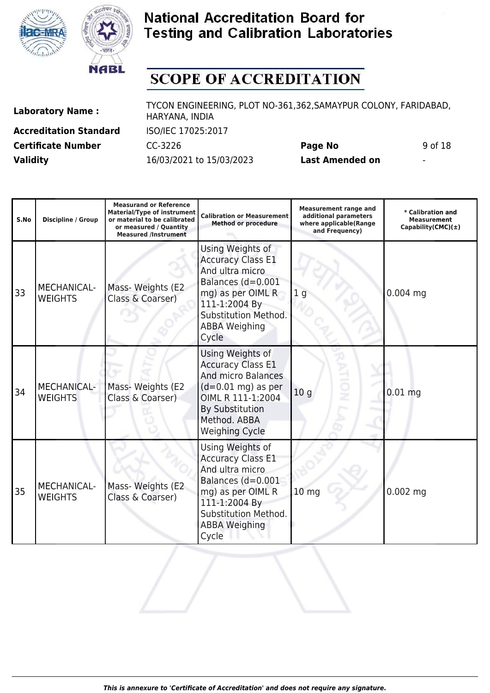



# **SCOPE OF ACCREDITATION**

| <b>Laboratory Name:</b> |  |
|-------------------------|--|
|-------------------------|--|

**Accreditation Standard** ISO/IEC 17025:2017 **Validity** 16/03/2021 to 15/03/2023 **Last Amended on** -

**Laboratory Name :** TYCON ENGINEERING, PLOT NO-361,362,SAMAYPUR COLONY, FARIDABAD, HARYANA, INDIA

**Certificate Number** CC-3226 **Page No** 9 of 18

| S.No | Discipline / Group            | <b>Measurand or Reference</b><br><b>Material/Type of instrument</b><br>or material to be calibrated<br>or measured / Quantity<br><b>Measured /Instrument</b> | <b>Calibration or Measurement</b><br><b>Method or procedure</b>                                                                                                                           | <b>Measurement range and</b><br>additional parameters<br>where applicable(Range<br>and Frequency) | * Calibration and<br><b>Measurement</b><br>Capability(CMC) $(\pm)$ |
|------|-------------------------------|--------------------------------------------------------------------------------------------------------------------------------------------------------------|-------------------------------------------------------------------------------------------------------------------------------------------------------------------------------------------|---------------------------------------------------------------------------------------------------|--------------------------------------------------------------------|
| 33   | MECHANICAL-<br><b>WEIGHTS</b> | Mass- Weights (E2<br>Class & Coarser)                                                                                                                        | Using Weights of<br><b>Accuracy Class E1</b><br>And ultra micro<br>Balances (d=0.001<br>mg) as per OIML R<br>111-1:2004 By<br>Substitution Method.<br><b>ABBA Weighing</b><br>Cycle       | 1 <sub>g</sub>                                                                                    | 0.004 mg                                                           |
| 34   | MECHANICAL-<br><b>WEIGHTS</b> | Mass- Weights (E2<br>Class & Coarser)                                                                                                                        | Using Weights of<br><b>Accuracy Class E1</b><br><b>And micro Balances</b><br>$(d=0.01$ mg) as per<br>OIML R 111-1:2004<br><b>By Substitution</b><br>Method, ABBA<br><b>Weighing Cycle</b> | 10 <sub>g</sub>                                                                                   | $0.01$ mg                                                          |
| 35   | MECHANICAL-<br><b>WEIGHTS</b> | Mass- Weights (E2<br>Class & Coarser)                                                                                                                        | Using Weights of<br><b>Accuracy Class E1</b><br>And ultra micro<br>Balances (d=0.001<br>mg) as per OIML R<br>111-1:2004 By<br>Substitution Method.<br><b>ABBA Weighing</b><br>Cycle       | 10 <sub>mg</sub>                                                                                  | $0.002$ mg                                                         |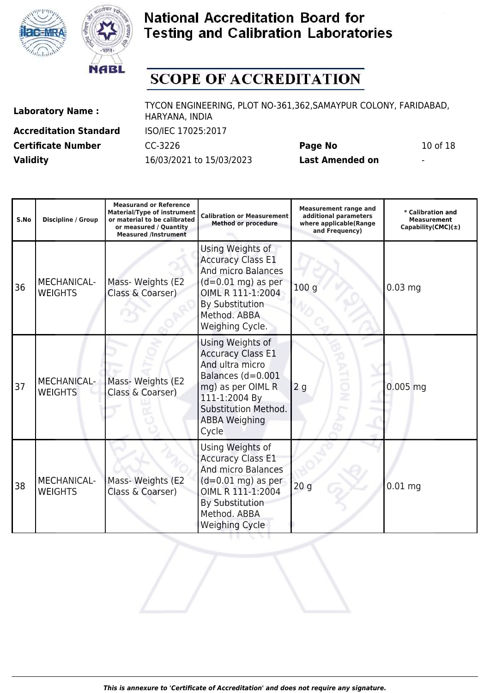



# **SCOPE OF ACCREDITATION**

**Accreditation Standard** ISO/IEC 17025:2017 **Certificate Number** CC-3226 **Page No** 10 of 18 **Validity** 16/03/2021 to 15/03/2023 **Last Amended on** -

| S.No | <b>Discipline / Group</b>            | <b>Measurand or Reference</b><br><b>Material/Type of instrument</b><br>or material to be calibrated<br>or measured / Quantity<br><b>Measured /Instrument</b> | <b>Calibration or Measurement</b><br><b>Method or procedure</b>                                                                                                                           | <b>Measurement range and</b><br>additional parameters<br>where applicable(Range<br>and Frequency) | * Calibration and<br><b>Measurement</b><br>Capability(CMC) $(\pm)$ |
|------|--------------------------------------|--------------------------------------------------------------------------------------------------------------------------------------------------------------|-------------------------------------------------------------------------------------------------------------------------------------------------------------------------------------------|---------------------------------------------------------------------------------------------------|--------------------------------------------------------------------|
| 36   | <b>MECHANICAL-</b><br><b>WEIGHTS</b> | Mass- Weights (E2<br>Class & Coarser)                                                                                                                        | Using Weights of<br><b>Accuracy Class E1</b><br><b>And micro Balances</b><br>$(d=0.01$ mg) as per<br>OIML R 111-1:2004<br><b>By Substitution</b><br>Method. ABBA<br>Weighing Cycle.       | 100 <sub>g</sub>                                                                                  | $0.03$ mg                                                          |
| 37   | <b>MECHANICAL-</b><br><b>WEIGHTS</b> | Mass- Weights (E2<br>Class & Coarser)                                                                                                                        | Using Weights of<br><b>Accuracy Class E1</b><br>And ultra micro<br>Balances (d=0.001<br>mg) as per OIML R<br>111-1:2004 By<br>Substitution Method.<br><b>ABBA Weighing</b><br>Cycle       | ion<br>2 <sub>g</sub>                                                                             | 0.005 mg                                                           |
| 38   | MECHANICAL-<br><b>WEIGHTS</b>        | Mass- Weights (E2<br>Class & Coarser)                                                                                                                        | Using Weights of<br><b>Accuracy Class E1</b><br><b>And micro Balances</b><br>$(d=0.01$ mg) as per<br>OIML R 111-1:2004<br><b>By Substitution</b><br>Method. ABBA<br><b>Weighing Cycle</b> | 20 <sub>g</sub>                                                                                   | $0.01$ mg                                                          |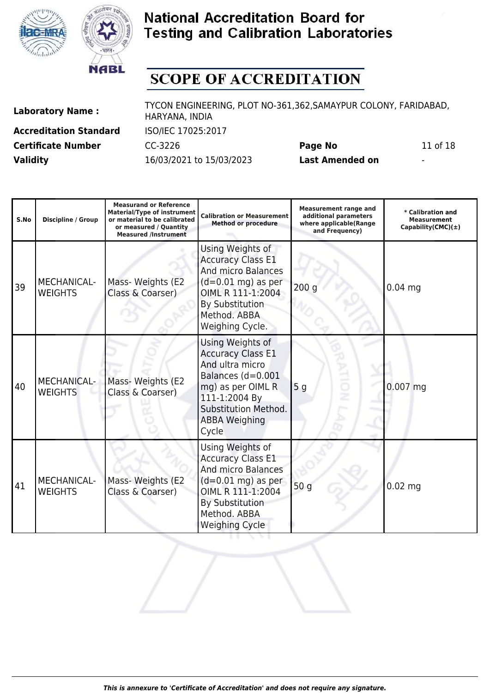



## **SCOPE OF ACCREDITATION**

**Accreditation Standard** ISO/IEC 17025:2017 **Certificate Number** CC-3226 **Page No** 11 of 18 **Validity** 16/03/2021 to 15/03/2023 **Last Amended on** -

**Laboratory Name :** TYCON ENGINEERING, PLOT NO-361,362,SAMAYPUR COLONY, FARIDABAD, HARYANA, INDIA

**Measurand or Reference**

| ×<br>۰. |  |
|---------|--|
|         |  |

**S.No Discipline / Group Material/Type of instrument or material to be calibrated or measured / Quantity Measured /Instrument Calibration or Measurement Method or procedure Measurement range and additional parameters where applicable(Range and Frequency) \* Calibration and Measurement Capability(CMC)(±)** 39 MECHANICAL-WEIGHTS Mass- Weights (E2 Class & Coarser) Using Weights of Accuracy Class E1 And micro Balances  $(d=0.01$  mg) as per OIML R 111-1:2004 By Substitution Method. ABBA Weighing Cycle. 200 g 0.04 mg 40 MECHANICAL-**WEIGHTS** Mass- Weights (E2 Class & Coarser) Using Weights of Accuracy Class E1 And ultra micro Balances (d=0.001 mg) as per OIML R 111-1:2004 By Substitution Method. ABBA Weighing Cycle 5 g 0.007 mg 41 MECHANICAL-**WEIGHTS** Mass- Weights (E2 Class & Coarser) Using Weights of Accuracy Class E1 And micro Balances  $(d=0.01$  mg) as per OIML R 111-1:2004 By Substitution Method. ABBA Weighing Cycle 50 g 0.02 mg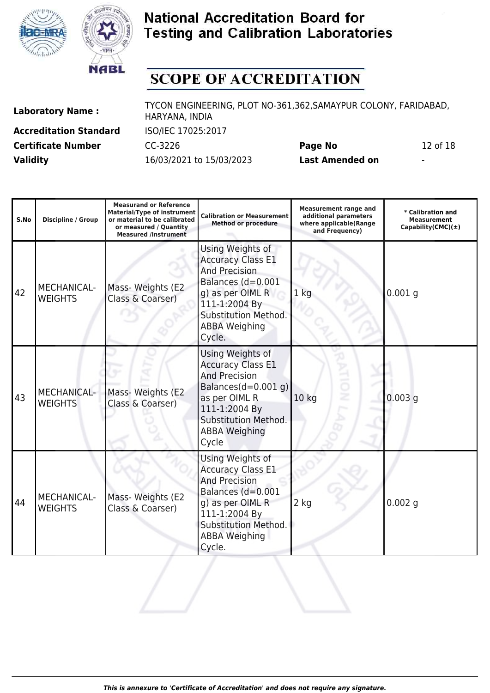



# **SCOPE OF ACCREDITATION**

| <b>Laboratory Name:</b> |  |  |
|-------------------------|--|--|
|-------------------------|--|--|

**Accreditation Standard** ISO/IEC 17025:2017 **Certificate Number** CC-3226 **Page No** 12 of 18 **Validity** 16/03/2021 to 15/03/2023 **Last Amended on** -

**Laboratory Name :** TYCON ENGINEERING, PLOT NO-361,362,SAMAYPUR COLONY, FARIDABAD, HARYANA, INDIA

**Measurand or Reference**

**Measurement range and additional parameters**

| S.No | <b>Discipline / Group</b>            | <b>Material/Type of instrument</b><br>or material to be calibrated<br>or measured / Quantity<br><b>Measured /Instrument</b> | <b>Calibration or Measurement</b><br><b>Method or procedure</b>                                                                                                                           | archicht range and<br>additional parameters<br>where applicable(Range<br>and Frequency) | * Calibration and<br>Measurement<br>Capability(CMC) $(\pm)$ |
|------|--------------------------------------|-----------------------------------------------------------------------------------------------------------------------------|-------------------------------------------------------------------------------------------------------------------------------------------------------------------------------------------|-----------------------------------------------------------------------------------------|-------------------------------------------------------------|
| 42   | MECHANICAL-<br><b>WEIGHTS</b>        | Mass- Weights (E2<br>Class & Coarser)                                                                                       | Using Weights of<br><b>Accuracy Class E1</b><br><b>And Precision</b><br>Balances (d=0.001<br>g) as per OIML R<br>111-1:2004 By<br>Substitution Method.<br><b>ABBA Weighing</b><br>Cycle.  | 1 <sub>kg</sub>                                                                         | $0.001$ g                                                   |
| 43   | MECHANICAL-<br><b>WEIGHTS</b>        | Mass- Weights (E2<br>Class & Coarser)                                                                                       | Using Weights of<br><b>Accuracy Class E1</b><br><b>And Precision</b><br>Balances $(d=0.001 g)$<br>as per OIML R<br>111-1:2004 By<br>Substitution Method.<br><b>ABBA Weighing</b><br>Cycle | ×<br>10 <sub>kg</sub>                                                                   | $0.003$ g                                                   |
| 44   | <b>MECHANICAL-</b><br><b>WEIGHTS</b> | Mass- Weights (E2<br>Class & Coarser)                                                                                       | Using Weights of<br><b>Accuracy Class E1</b><br><b>And Precision</b><br>Balances (d=0.001<br>g) as per OIML R<br>111-1:2004 By<br>Substitution Method.<br><b>ABBA Weighing</b><br>Cycle.  | 2 kg                                                                                    | $0.002$ g                                                   |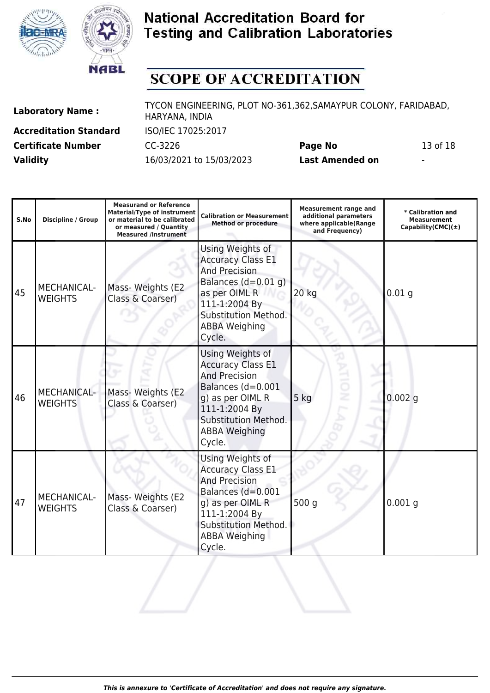



# **SCOPE OF ACCREDITATION**

| <b>Laboratory Name:</b> |  |  |
|-------------------------|--|--|
|-------------------------|--|--|

**Accreditation Standard** ISO/IEC 17025:2017 **Validity** 16/03/2021 to 15/03/2023 **Last Amended on** -

**Laboratory Name :** TYCON ENGINEERING, PLOT NO-361,362,SAMAYPUR COLONY, FARIDABAD, HARYANA, INDIA

**Certificate Number** CC-3226 **Page No** 13 of 18

| S.No | <b>Discipline / Group</b>            | <b>Measurand or Reference</b><br><b>Material/Type of instrument</b><br>or material to be calibrated<br>or measured / Quantity<br><b>Measured /Instrument</b> | <b>Calibration or Measurement</b><br><b>Method or procedure</b>                                                                                                                           | <b>Measurement range and</b><br>additional parameters<br>where applicable(Range<br>and Frequency) | * Calibration and<br><b>Measurement</b><br>Capability(CMC) $(\pm)$ |
|------|--------------------------------------|--------------------------------------------------------------------------------------------------------------------------------------------------------------|-------------------------------------------------------------------------------------------------------------------------------------------------------------------------------------------|---------------------------------------------------------------------------------------------------|--------------------------------------------------------------------|
| 45   | MECHANICAL-<br><b>WEIGHTS</b>        | Mass- Weights (E2<br>Class & Coarser)                                                                                                                        | Using Weights of<br><b>Accuracy Class E1</b><br><b>And Precision</b><br>Balances $(d=0.01 q)$<br>as per OIML R<br>111-1:2004 By<br>Substitution Method.<br><b>ABBA Weighing</b><br>Cycle. | 20 kg                                                                                             | 0.01 <sub>g</sub>                                                  |
| 46   | <b>MECHANICAL-</b><br><b>WEIGHTS</b> | Mass- Weights (E2<br>Class & Coarser)                                                                                                                        | Using Weights of<br><b>Accuracy Class E1</b><br><b>And Precision</b><br>Balances (d=0.001<br>g) as per OIML R<br>111-1:2004 By<br>Substitution Method.<br><b>ABBA Weighing</b><br>Cycle.  | 5<br>5 kg                                                                                         | $0.002$ g                                                          |
| 47   | MECHANICAL-<br><b>WEIGHTS</b>        | Mass- Weights (E2<br>Class & Coarser)                                                                                                                        | Using Weights of<br><b>Accuracy Class E1</b><br><b>And Precision</b><br>Balances (d=0.001<br>g) as per OIML R<br>111-1:2004 By<br>Substitution Method.<br><b>ABBA Weighing</b><br>Cycle.  | 500 g                                                                                             | $0.001$ g                                                          |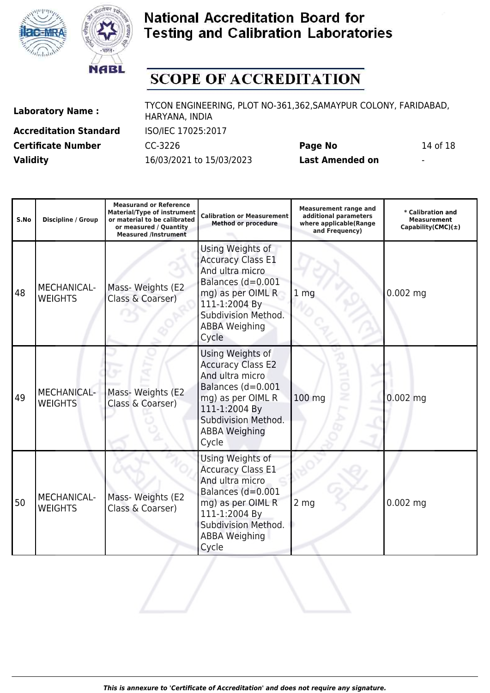



# **SCOPE OF ACCREDITATION**

| <b>Laboratory Name:</b> |  |
|-------------------------|--|
|-------------------------|--|

**Accreditation Standard** ISO/IEC 17025:2017 **Certificate Number** CC-3226 **Page No** 14 of 18 **Validity** 16/03/2021 to 15/03/2023 **Last Amended on** -

**Laboratory Name :** TYCON ENGINEERING, PLOT NO-361,362,SAMAYPUR COLONY, FARIDABAD, HARYANA, INDIA

**Measurand or Reference**

|  | ' I<br>K.<br>×<br>۰. |  |
|--|----------------------|--|
|  |                      |  |
|  |                      |  |

| S.No | <b>Discipline / Group</b>            | <b>Measurand or Reference</b><br><b>Material/Type of instrument</b><br>or material to be calibrated<br>or measured / Quantity<br><b>Measured /Instrument</b> | <b>Calibration or Measurement</b><br><b>Method or procedure</b>                                                                                                                    | <b>Measurement range and</b><br>additional parameters<br>where applicable(Range<br>and Frequency) | * Calibration and<br>Measurement<br>Capability(CMC) $(\pm)$ |
|------|--------------------------------------|--------------------------------------------------------------------------------------------------------------------------------------------------------------|------------------------------------------------------------------------------------------------------------------------------------------------------------------------------------|---------------------------------------------------------------------------------------------------|-------------------------------------------------------------|
| 48   | <b>MECHANICAL-</b><br><b>WEIGHTS</b> | Mass- Weights (E2<br>Class & Coarser)                                                                                                                        | Using Weights of<br><b>Accuracy Class E1</b><br>And ultra micro<br>Balances (d=0.001<br>mg) as per OIML R<br>111-1:2004 By<br>Subdivision Method.<br><b>ABBA Weighing</b><br>Cycle | 1 <sub>mg</sub>                                                                                   | $0.002$ mg                                                  |
| 49   | <b>MECHANICAL-</b><br><b>WEIGHTS</b> | Mass- Weights (E2<br>Class & Coarser)                                                                                                                        | Using Weights of<br><b>Accuracy Class E2</b><br>And ultra micro<br>Balances (d=0.001<br>mg) as per OIML R<br>111-1:2004 By<br>Subdivision Method.<br><b>ABBA Weighing</b><br>Cycle | 100 mg                                                                                            | $0.002$ mg                                                  |
| 50   | MECHANICAL-<br><b>WEIGHTS</b>        | Mass- Weights (E2<br>Class & Coarser)                                                                                                                        | Using Weights of<br><b>Accuracy Class E1</b><br>And ultra micro<br>Balances (d=0.001<br>mg) as per OIML R<br>111-1:2004 By<br>Subdivision Method.<br><b>ABBA Weighing</b><br>Cycle | 2 <sub>mg</sub>                                                                                   | $0.002$ mg                                                  |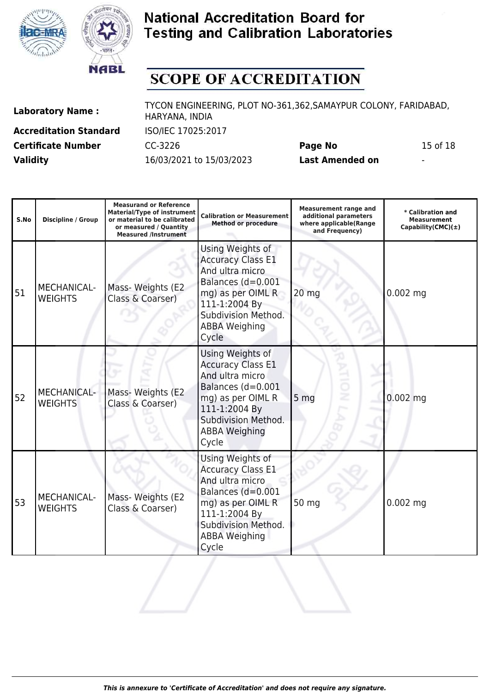



# **SCOPE OF ACCREDITATION**

| <b>Laboratory Name:</b> |  |
|-------------------------|--|
|-------------------------|--|

**Accreditation Standard** ISO/IEC 17025:2017 **Certificate Number** CC-3226 **Page No** 15 of 18 **Validity** 16/03/2021 to 15/03/2023 **Last Amended on** -

| S.No | <b>Discipline / Group</b>            | <b>Measurand or Reference</b><br><b>Material/Type of instrument</b><br>or material to be calibrated<br>or measured / Quantity<br><b>Measured /Instrument</b> | <b>Calibration or Measurement</b><br><b>Method or procedure</b>                                                                                                                    | <b>Measurement range and</b><br>additional parameters<br>where applicable(Range<br>and Frequency) | * Calibration and<br><b>Measurement</b><br>Capability(CMC) $(\pm)$ |
|------|--------------------------------------|--------------------------------------------------------------------------------------------------------------------------------------------------------------|------------------------------------------------------------------------------------------------------------------------------------------------------------------------------------|---------------------------------------------------------------------------------------------------|--------------------------------------------------------------------|
| 51   | <b>MECHANICAL-</b><br><b>WEIGHTS</b> | Mass- Weights (E2<br>Class & Coarser)                                                                                                                        | Using Weights of<br><b>Accuracy Class E1</b><br>And ultra micro<br>Balances (d=0.001<br>mg) as per OIML R<br>111-1:2004 By<br>Subdivision Method.<br><b>ABBA Weighing</b><br>Cycle | 20 mg                                                                                             | $0.002$ mg                                                         |
| 52   | <b>MECHANICAL-</b><br><b>WEIGHTS</b> | Mass- Weights (E2<br>Class & Coarser)                                                                                                                        | Using Weights of<br><b>Accuracy Class E1</b><br>And ultra micro<br>Balances (d=0.001<br>mg) as per OIML R<br>111-1:2004 By<br>Subdivision Method.<br><b>ABBA Weighing</b><br>Cycle | 5 <sub>mg</sub>                                                                                   | $0.002$ mg                                                         |
| 53   | <b>MECHANICAL-</b><br><b>WEIGHTS</b> | Mass- Weights (E2<br>Class & Coarser)                                                                                                                        | Using Weights of<br><b>Accuracy Class E1</b><br>And ultra micro<br>Balances (d=0.001<br>mg) as per OIML R<br>111-1:2004 By<br>Subdivision Method.<br><b>ABBA Weighing</b><br>Cycle | 50 mg                                                                                             | $0.002$ mg                                                         |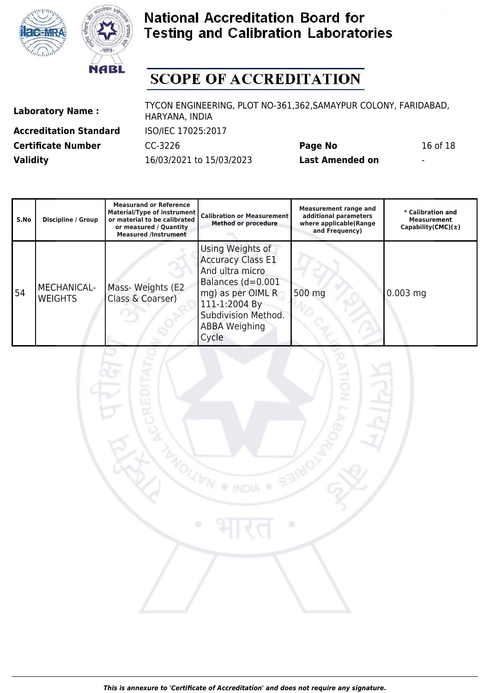



# **SCOPE OF ACCREDITATION**

**Accreditation Standard** ISO/IEC 17025:2017 **Certificate Number** CC-3226 **Page No** 16 of 18 **Validity** 16/03/2021 to 15/03/2023 **Last Amended on** -

| S.No | <b>Discipline / Group</b>     | <b>Measurand or Reference</b><br><b>Material/Type of instrument</b><br>or material to be calibrated<br>or measured / Quantity<br><b>Measured /Instrument</b> | <b>Calibration or Measurement</b><br><b>Method or procedure</b>                                                                                                                    | <b>Measurement range and</b><br>additional parameters<br>where applicable(Range<br>and Frequency) | * Calibration and<br><b>Measurement</b><br>Capability(CMC) $(\pm)$ |
|------|-------------------------------|--------------------------------------------------------------------------------------------------------------------------------------------------------------|------------------------------------------------------------------------------------------------------------------------------------------------------------------------------------|---------------------------------------------------------------------------------------------------|--------------------------------------------------------------------|
| 54   | MECHANICAL-<br><b>WEIGHTS</b> | Mass- Weights (E2<br>Class & Coarser)                                                                                                                        | Using Weights of<br><b>Accuracy Class E1</b><br>And ultra micro<br>Balances (d=0.001<br>mg) as per OIML R<br>111-1:2004 By<br>Subdivision Method.<br><b>ABBA Weighing</b><br>Cycle | 500 mg                                                                                            | $0.003$ mg                                                         |

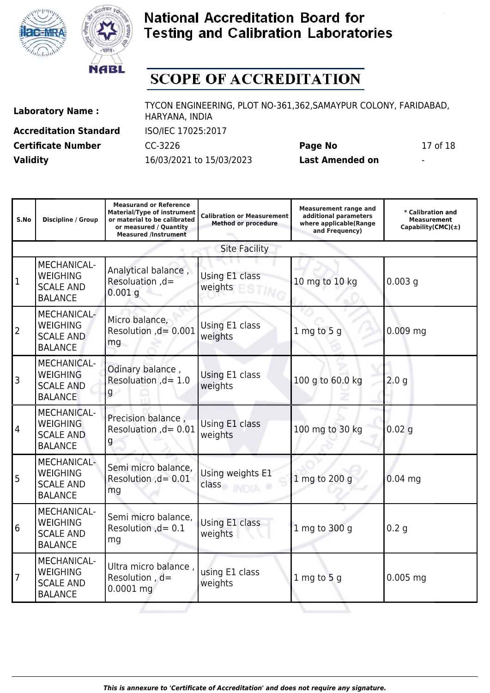



# **SCOPE OF ACCREDITATION**

**Accreditation Standard** ISO/IEC 17025:2017 **Validity** 16/03/2021 to 15/03/2023 **Last Amended on** -

**Laboratory Name :** TYCON ENGINEERING, PLOT NO-361,362,SAMAYPUR COLONY, FARIDABAD, HARYANA, INDIA **Certificate Number** CC-3226 **Page No** 17 of 18

| S.No           | <b>Discipline / Group</b>                                                   | <b>Measurand or Reference</b><br><b>Material/Type of instrument</b><br>or material to be calibrated<br>or measured / Quantity<br><b>Measured /Instrument</b> | <b>Calibration or Measurement</b><br><b>Method or procedure</b> | <b>Measurement range and</b><br>additional parameters<br>where applicable(Range<br>and Frequency) | * Calibration and<br><b>Measurement</b><br>Capability(CMC) $(\pm)$ |
|----------------|-----------------------------------------------------------------------------|--------------------------------------------------------------------------------------------------------------------------------------------------------------|-----------------------------------------------------------------|---------------------------------------------------------------------------------------------------|--------------------------------------------------------------------|
|                |                                                                             |                                                                                                                                                              | <b>Site Facility</b>                                            |                                                                                                   |                                                                    |
| 1              | MECHANICAL-<br><b>WEIGHING</b><br><b>SCALE AND</b><br><b>BALANCE</b>        | Analytical balance,<br>Resoluation, d=<br>$0.001$ g                                                                                                          | Using E1 class<br>weights                                       | 10 mg to 10 kg                                                                                    | $0.003$ g                                                          |
| $\overline{2}$ | MECHANICAL-<br><b>WEIGHING</b><br><b>SCALE AND</b><br><b>BALANCE</b>        | Micro balance,<br>Resolution , d= 0.001<br>mg                                                                                                                | Using E1 class<br>weights                                       | $1$ mg to 5 g                                                                                     | $0.009$ mg                                                         |
| 3              | <b>MECHANICAL-</b><br><b>WEIGHING</b><br><b>SCALE AND</b><br><b>BALANCE</b> | Odinary balance,<br>Resoluation $,d=1.0$<br>g                                                                                                                | Using E1 class<br>weights                                       | 100 g to 60.0 kg                                                                                  | 2.0 <sub>q</sub>                                                   |
| 4              | <b>MECHANICAL-</b><br><b>WEIGHING</b><br><b>SCALE AND</b><br><b>BALANCE</b> | Precision balance,<br>Resoluation , d = 0.01<br>g                                                                                                            | Using E1 class<br>weights                                       | 100 mg to 30 kg                                                                                   | 0.02 <sub>q</sub>                                                  |
| 5              | <b>MECHANICAL-</b><br><b>WEIGHING</b><br><b>SCALE AND</b><br><b>BALANCE</b> | Semi micro balance,<br>Resolution , d = 0.01<br>mg                                                                                                           | Using weights E1<br>class                                       | 1 mg to 200 g                                                                                     | $0.04$ mq                                                          |
| 6              | <b>MECHANICAL-</b><br><b>WEIGHING</b><br><b>SCALE AND</b><br><b>BALANCE</b> | Semi micro balance,<br>Resolution , d = 0.1<br>mg                                                                                                            | Using E1 class<br>weights                                       | 1 mg to 300 g                                                                                     | 0.2 <sub>q</sub>                                                   |
| $\overline{7}$ | <b>MECHANICAL-</b><br><b>WEIGHING</b><br><b>SCALE AND</b><br><b>BALANCE</b> | Ultra micro balance,<br>Resolution, d=<br>$0.0001$ mg                                                                                                        | using E1 class<br>weights                                       | $1$ mg to $5$ g                                                                                   | $0.005$ mg                                                         |